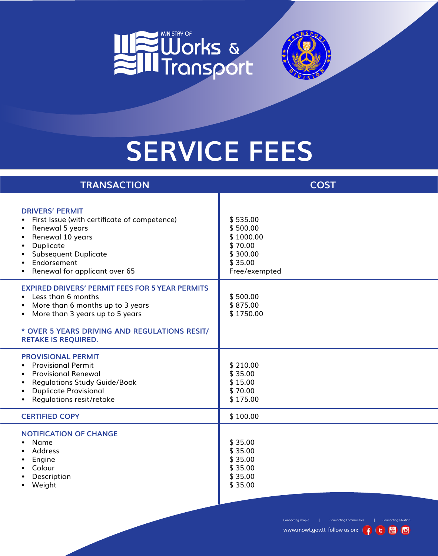



## **Service Fees**

| <b>TRANSACTION</b>                                                                                                                                                                                                                  | <b>COST</b>                                                                          |
|-------------------------------------------------------------------------------------------------------------------------------------------------------------------------------------------------------------------------------------|--------------------------------------------------------------------------------------|
| <b>DRIVERS' PERMIT</b><br>First Issue (with certificate of competence)<br>$\bullet$<br>Renewal 5 years<br>$\bullet$<br>Renewal 10 years<br>Duplicate<br><b>Subsequent Duplicate</b><br>Endorsement<br>Renewal for applicant over 65 | \$535.00<br>\$500.00<br>\$1000.00<br>\$70.00<br>\$300.00<br>\$35.00<br>Free/exempted |
| <b>EXPIRED DRIVERS' PERMIT FEES FOR 5 YEAR PERMITS</b><br>• Less than 6 months<br>More than 6 months up to 3 years<br>More than 3 years up to 5 years<br>$\bullet$<br>* OVER 5 YEARS DRIVING AND REGULATIONS RESIT/                 | \$500.00<br>\$875.00<br>\$1750.00                                                    |
| <b>RETAKE IS REQUIRED.</b><br><b>PROVISIONAL PERMIT</b><br><b>Provisional Permit</b><br><b>Provisional Renewal</b><br><b>Regulations Study Guide/Book</b><br><b>Duplicate Provisional</b><br>Regulations resit/retake               | \$210.00<br>\$35.00<br>\$15.00<br>\$70.00<br>\$175.00                                |
| <b>CERTIFIED COPY</b>                                                                                                                                                                                                               | \$100.00                                                                             |
| <b>NOTIFICATION OF CHANGE</b><br>• Name<br>Address<br>Engine<br>Colour<br>Description<br>Weight                                                                                                                                     | \$35.00<br>\$35.00<br>\$35.00<br>\$35.00<br>\$35.00<br>\$35.00                       |

**Connecting People** 

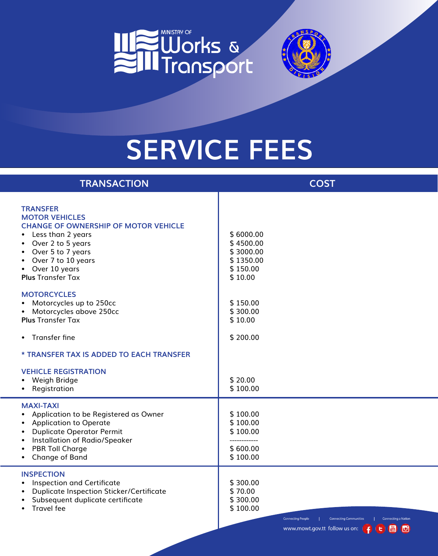



## **Service Fees**

| <b>TRANSACTION</b>                                                                                                                                                                                                                                                                         | <b>COST</b>                                                                                                                                                                                                                                            |
|--------------------------------------------------------------------------------------------------------------------------------------------------------------------------------------------------------------------------------------------------------------------------------------------|--------------------------------------------------------------------------------------------------------------------------------------------------------------------------------------------------------------------------------------------------------|
| <b>TRANSFER</b><br><b>MOTOR VEHICLES</b><br><b>CHANGE OF OWNERSHIP OF MOTOR VEHICLE</b><br>Less than 2 years<br>$\bullet$<br>Over 2 to 5 years<br>$\bullet$<br>Over 5 to 7 years<br>$\bullet$<br>Over 7 to 10 years<br>$\bullet$<br>Over 10 years<br>$\bullet$<br><b>Plus Transfer Tax</b> | \$6000.00<br>\$4500.00<br>\$3000.00<br>\$1350.00<br>\$150.00<br>\$10.00                                                                                                                                                                                |
| <b>MOTORCYCLES</b><br>Motorcycles up to 250cc<br>$\bullet$<br>Motorcycles above 250cc<br>$\bullet$<br><b>Plus Transfer Tax</b>                                                                                                                                                             | \$150.00<br>\$300.00<br>\$10.00                                                                                                                                                                                                                        |
| Transfer fine<br>$\bullet$                                                                                                                                                                                                                                                                 | \$200.00                                                                                                                                                                                                                                               |
| * TRANSFER TAX IS ADDED TO EACH TRANSFER                                                                                                                                                                                                                                                   |                                                                                                                                                                                                                                                        |
| <b>VEHICLE REGISTRATION</b><br>• Weigh Bridge<br>Registration<br>$\bullet$                                                                                                                                                                                                                 | \$20.00<br>\$100.00                                                                                                                                                                                                                                    |
| <b>MAXI-TAXI</b><br>Application to be Registered as Owner<br>$\bullet$<br><b>Application to Operate</b><br>$\bullet$<br><b>Duplicate Operator Permit</b><br>$\bullet$<br>Installation of Radio/Speaker<br><b>PBR Toll Charge</b><br><b>Change of Band</b>                                  | \$100.00<br>\$100.00<br>\$100.00<br>\$600.00<br>\$100.00                                                                                                                                                                                               |
| <b>INSPECTION</b><br>Inspection and Certificate<br>$\bullet$<br><b>Duplicate Inspection Sticker/Certificate</b><br>$\bullet$<br>Subsequent duplicate certificate<br><b>Travel fee</b>                                                                                                      | \$300.00<br>\$70.00<br>\$300.00<br>\$100.00<br>Connecting a Nation<br><b>Connecting People</b><br><b>Connecting Communities</b><br>www.mowt.gov.tt follow us on: $\left  \begin{array}{cc} \bullet & \bullet \\ \bullet & \bullet \end{array} \right $ |